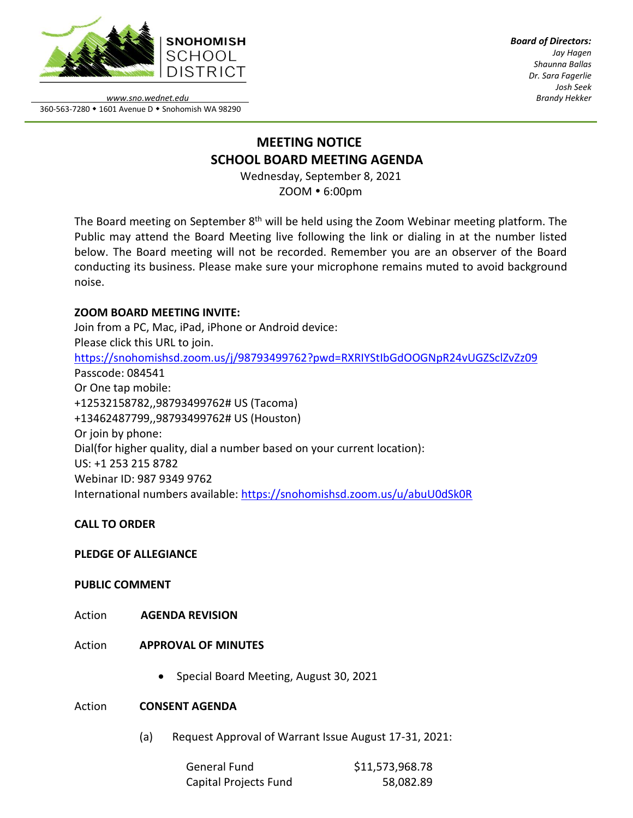

*Board of Directors: Jay Hagen Shaunna Ballas Dr. Sara Fagerlie Josh Seek Brandy Hekker*

*www.sno.wednet.edu* 360-563-7280 • 1601 Avenue D • Snohomish WA 98290

# **MEETING NOTICE SCHOOL BOARD MEETING AGENDA**

Wednesday, September 8, 2021 ZOOM 6:00pm

The Board meeting on September 8<sup>th</sup> will be held using the Zoom Webinar meeting platform. The Public may attend the Board Meeting live following the link or dialing in at the number listed below. The Board meeting will not be recorded. Remember you are an observer of the Board conducting its business. Please make sure your microphone remains muted to avoid background noise.

# **ZOOM BOARD MEETING INVITE:**

Join from a PC, Mac, iPad, iPhone or Android device: Please click this URL to join. <https://snohomishsd.zoom.us/j/98793499762?pwd=RXRIYStIbGdOOGNpR24vUGZSclZvZz09> Passcode: 084541 Or One tap mobile: +12532158782,,98793499762# US (Tacoma) +13462487799,,98793499762# US (Houston) Or join by phone: Dial(for higher quality, dial a number based on your current location): US: +1 253 215 8782 Webinar ID: 987 9349 9762 International numbers available:<https://snohomishsd.zoom.us/u/abuU0dSk0R>

# **CALL TO ORDER**

# **PLEDGE OF ALLEGIANCE**

### **PUBLIC COMMENT**

- Action **AGENDA REVISION**
- Action **APPROVAL OF MINUTES**
	- Special Board Meeting, August 30, 2021

### Action **CONSENT AGENDA**

(a) Request Approval of Warrant Issue August 17-31, 2021:

| General Fund          | \$11,573,968.78 |
|-----------------------|-----------------|
| Capital Projects Fund | 58,082.89       |